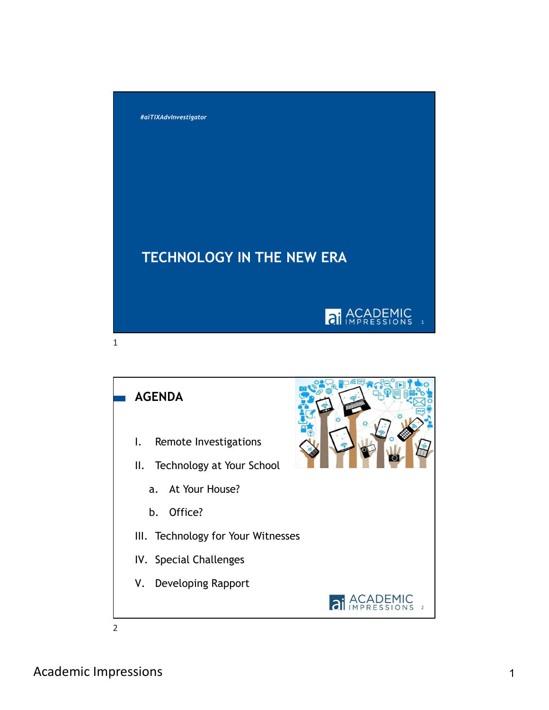

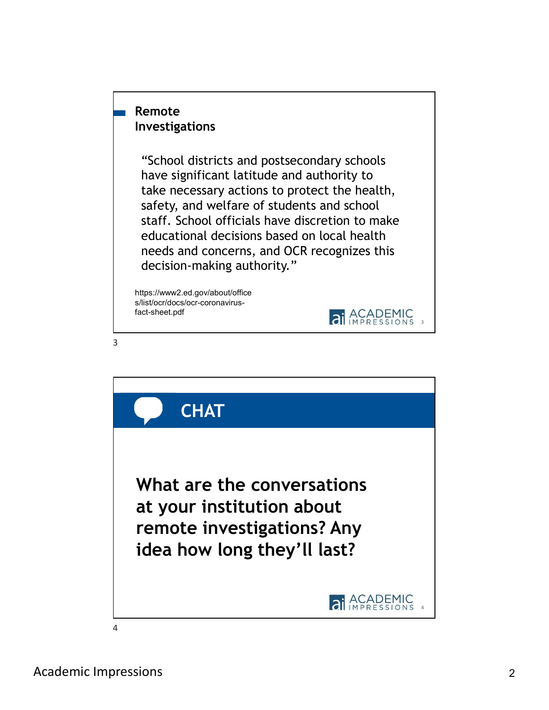## Remote Investigations

"School districts and postsecondary schools have significant latitude and authority to take necessary actions to protect the health, safety, and welfare of students and school staff. School officials have discretion to make educational decisions based on local health needs and concerns, and OCR recognizes this decision-making authority."

https://www2.ed.gov/about/office s/list/ocr/docs/ocr-coronavirusfact-sheet.pdf



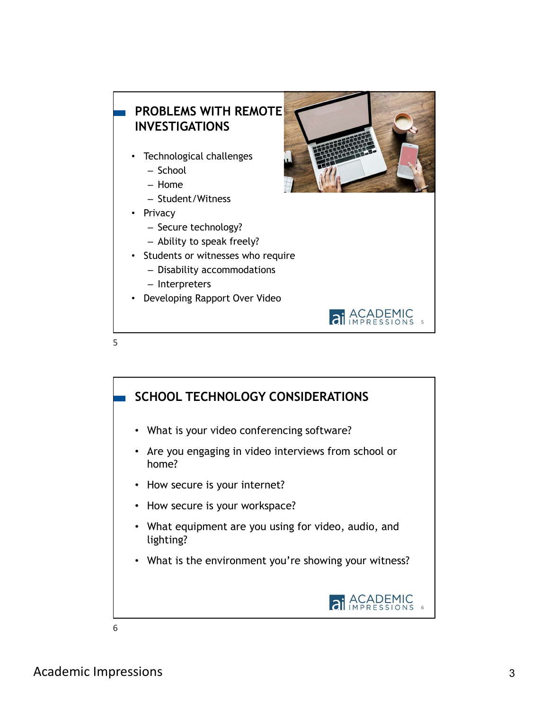

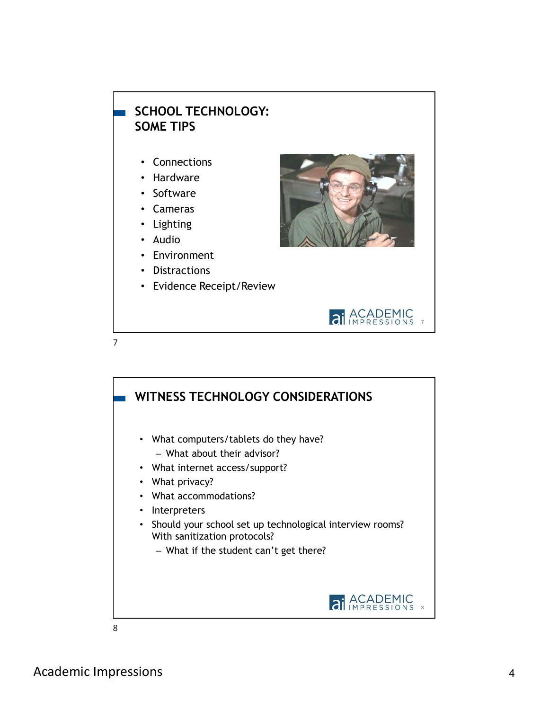

- Hardware
- Software
- Cameras
- Lighting
- Audio
- Environment
- Distractions

• Evidence Receipt/Review





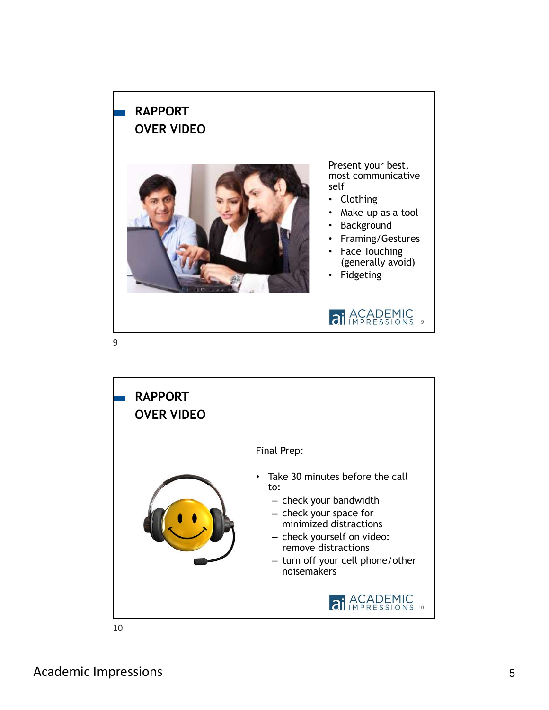## RAPPORT OVER VIDEO



Present your best, most communicative self

- Clothing
- Make-up as a tool
- Background
- Framing/Gestures
- Face Touching (generally avoid)
- Fidgeting





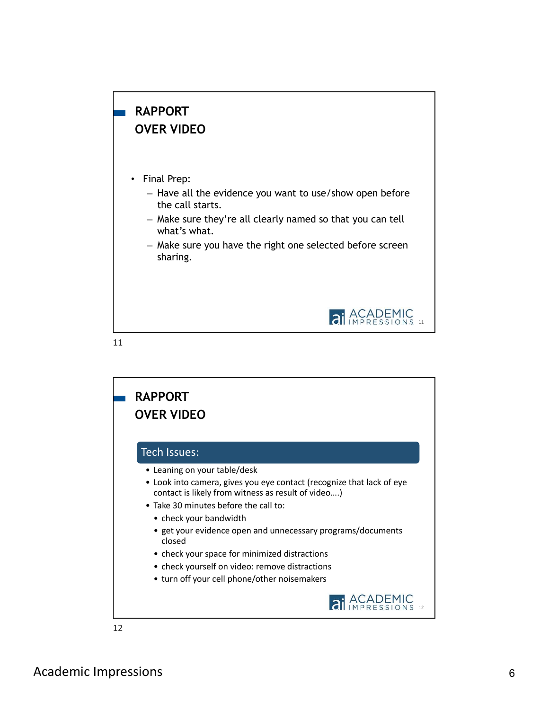## RAPPORT OVER VIDEO

- Final Prep:
	- Have all the evidence you want to use/show open before the call starts.
	- Make sure they're all clearly named so that you can tell what's what.
	- Make sure you have the right one selected before screen sharing.



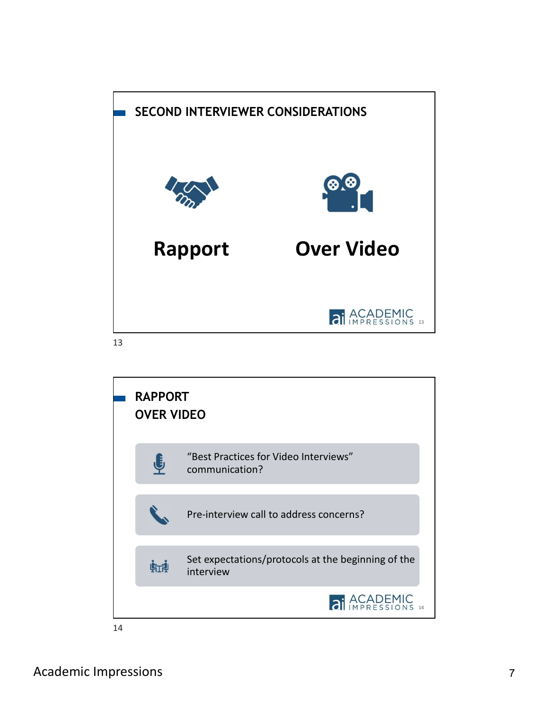

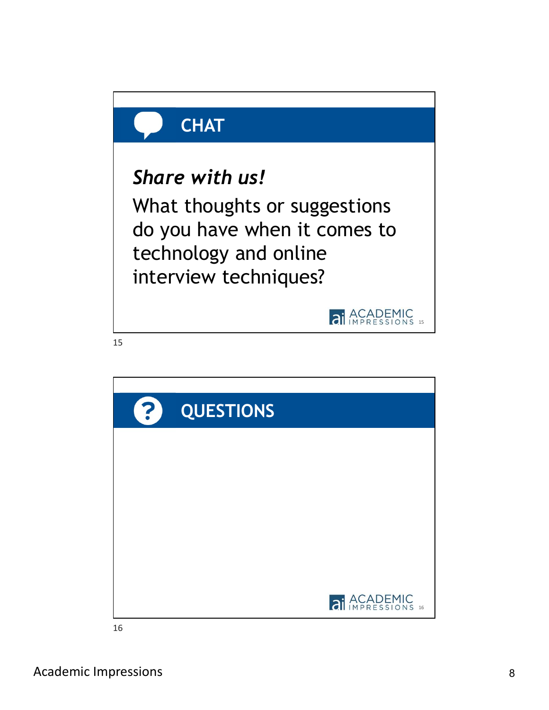

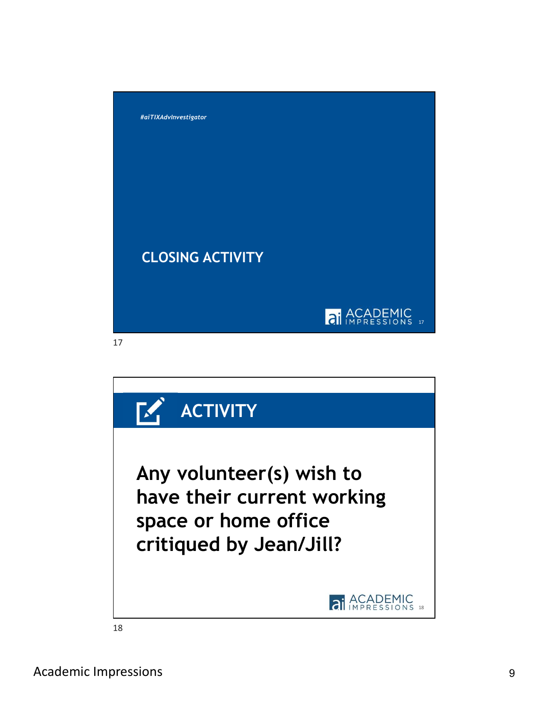